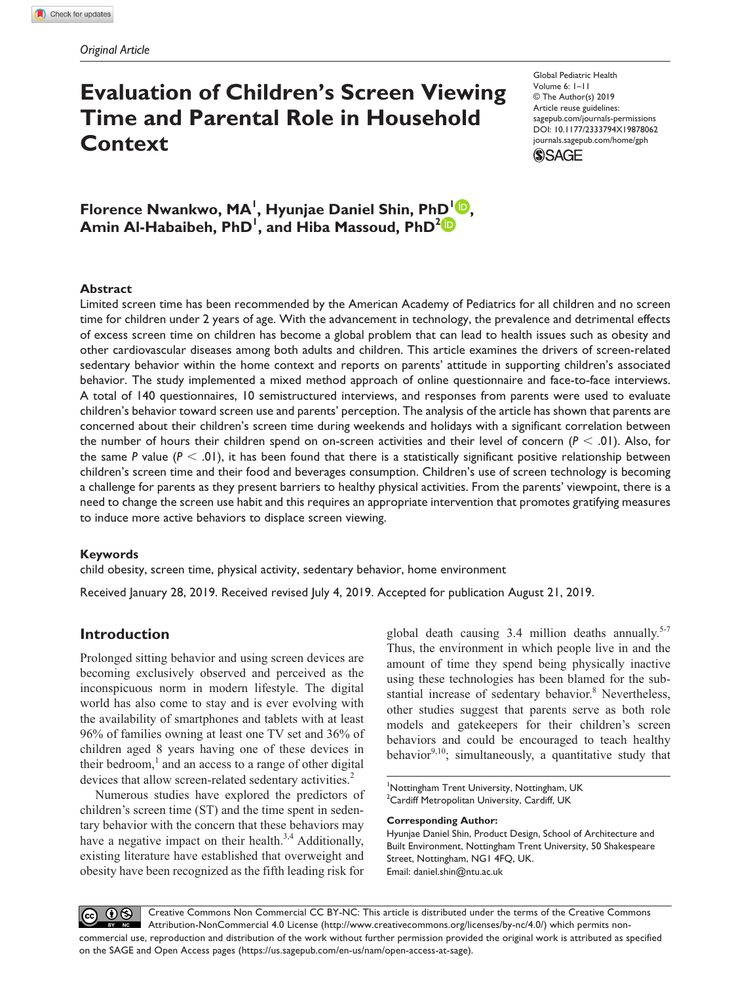# **Evaluation of Children's Screen Viewing Time and Parental Role in Household Context**

https://doi.org/10.1177/2333794X19878062 DOI: 10.1177/2333794X19878062 Global Pediatric Health Volume 6: 1–11 © The Author(s) 2019 Article reuse guidelines: [sagepub.com/journals-permissions](https://us.sagepub.com/en-us/journals-permissions)  [journals.sagepub.com/home/gph](https://journals.sagepub.com/home/gph)



**Florence Nwankwo, MA<sup>1</sup>, Hyunjae Daniel Shin, PhD<sup>1</sup> <sup>1</sup>D, Amin Al-Habaibeh, PhD1 , and Hiba Massoud, PhD2**

#### **Abstract**

Limited screen time has been recommended by the American Academy of Pediatrics for all children and no screen time for children under 2 years of age. With the advancement in technology, the prevalence and detrimental effects of excess screen time on children has become a global problem that can lead to health issues such as obesity and other cardiovascular diseases among both adults and children. This article examines the drivers of screen-related sedentary behavior within the home context and reports on parents' attitude in supporting children's associated behavior. The study implemented a mixed method approach of online questionnaire and face-to-face interviews. A total of 140 questionnaires, 10 semistructured interviews, and responses from parents were used to evaluate children's behavior toward screen use and parents' perception. The analysis of the article has shown that parents are concerned about their children's screen time during weekends and holidays with a significant correlation between the number of hours their children spend on on-screen activities and their level of concern (*P* < .01). Also, for the same  $P$  value ( $P < .01$ ), it has been found that there is a statistically significant positive relationship between children's screen time and their food and beverages consumption. Children's use of screen technology is becoming a challenge for parents as they present barriers to healthy physical activities. From the parents' viewpoint, there is a need to change the screen use habit and this requires an appropriate intervention that promotes gratifying measures to induce more active behaviors to displace screen viewing.

#### **Keywords**

child obesity, screen time, physical activity, sedentary behavior, home environment

Received January 28, 2019. Received revised July 4, 2019. Accepted for publication August 21, 2019.

# **Introduction**

Prolonged sitting behavior and using screen devices are becoming exclusively observed and perceived as the inconspicuous norm in modern lifestyle. The digital world has also come to stay and is ever evolving with the availability of smartphones and tablets with at least 96% of families owning at least one TV set and 36% of children aged 8 years having one of these devices in their bedroom,<sup>1</sup> and an access to a range of other digital devices that allow screen-related sedentary activities.<sup>2</sup>

Numerous studies have explored the predictors of children's screen time (ST) and the time spent in sedentary behavior with the concern that these behaviors may have a negative impact on their health. $3,4$  Additionally, existing literature have established that overweight and obesity have been recognized as the fifth leading risk for global death causing  $3.4$  million deaths annually.<sup>5-7</sup> Thus, the environment in which people live in and the amount of time they spend being physically inactive using these technologies has been blamed for the substantial increase of sedentary behavior.<sup>8</sup> Nevertheless, other studies suggest that parents serve as both role models and gatekeepers for their children's screen behaviors and could be encouraged to teach healthy behavior $9,10$ ; simultaneously, a quantitative study that

1 Nottingham Trent University, Nottingham, UK  $\rm ^2$ Cardiff Metropolitan University, Cardiff, UK

#### **Corresponding Author:**

Hyunjae Daniel Shin, Product Design, School of Architecture and Built Environment, Nottingham Trent University, 50 Shakespeare Street, Nottingham, NG1 4FQ, UK. Email: [daniel.shin@ntu.ac.uk](mailto:daniel.shin@ntu.ac.uk)

Creative Commons Non Commercial CC BY-NC: This article is distributed under the terms of the Creative Commons  $0$  $\odot$ Attribution-NonCommercial 4.0 License (http://www.creativecommons.org/licenses/by-nc/4.0/) which permits noncommercial use, reproduction and distribution of the work without further permission provided the original work is attributed as specified on the SAGE and Open Access pages (https://us.sagepub.com/en-us/nam/open-access-at-sage).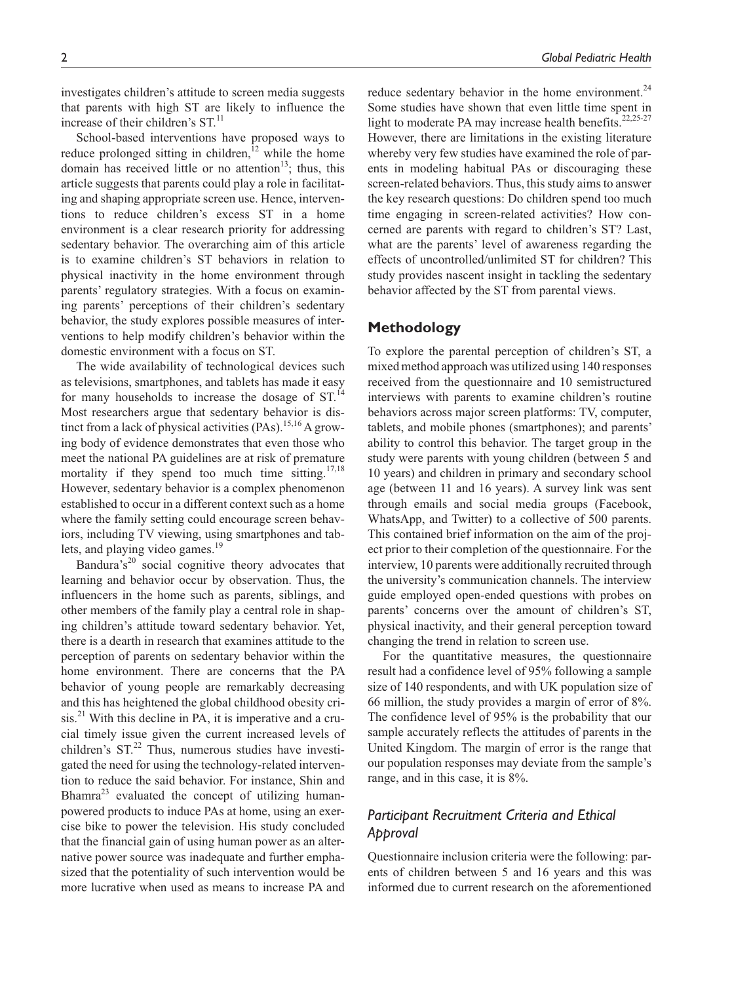investigates children's attitude to screen media suggests that parents with high ST are likely to influence the increase of their children's  $ST<sup>11</sup>$ .

School-based interventions have proposed ways to reduce prolonged sitting in children, $12$  while the home domain has received little or no attention<sup>13</sup>; thus, this article suggests that parents could play a role in facilitating and shaping appropriate screen use. Hence, interventions to reduce children's excess ST in a home environment is a clear research priority for addressing sedentary behavior. The overarching aim of this article is to examine children's ST behaviors in relation to physical inactivity in the home environment through parents' regulatory strategies. With a focus on examining parents' perceptions of their children's sedentary behavior, the study explores possible measures of interventions to help modify children's behavior within the domestic environment with a focus on ST.

The wide availability of technological devices such as televisions, smartphones, and tablets has made it easy for many households to increase the dosage of  $ST<sup>14</sup>$ . Most researchers argue that sedentary behavior is distinct from a lack of physical activities  $(PAs)$ <sup>15,16</sup> A growing body of evidence demonstrates that even those who meet the national PA guidelines are at risk of premature mortality if they spend too much time sitting. $17,18$ However, sedentary behavior is a complex phenomenon established to occur in a different context such as a home where the family setting could encourage screen behaviors, including TV viewing, using smartphones and tablets, and playing video games.<sup>19</sup>

Bandura's<sup>20</sup> social cognitive theory advocates that learning and behavior occur by observation. Thus, the influencers in the home such as parents, siblings, and other members of the family play a central role in shaping children's attitude toward sedentary behavior. Yet, there is a dearth in research that examines attitude to the perception of parents on sedentary behavior within the home environment. There are concerns that the PA behavior of young people are remarkably decreasing and this has heightened the global childhood obesity cri- $\sin^{21}$  With this decline in PA, it is imperative and a crucial timely issue given the current increased levels of children's  $ST<sup>22</sup>$ . Thus, numerous studies have investigated the need for using the technology-related intervention to reduce the said behavior. For instance, Shin and Bhamra<sup>23</sup> evaluated the concept of utilizing humanpowered products to induce PAs at home, using an exercise bike to power the television. His study concluded that the financial gain of using human power as an alternative power source was inadequate and further emphasized that the potentiality of such intervention would be more lucrative when used as means to increase PA and

reduce sedentary behavior in the home environment. $^{24}$ Some studies have shown that even little time spent in light to moderate PA may increase health benefits. $22,25-27$ However, there are limitations in the existing literature whereby very few studies have examined the role of parents in modeling habitual PAs or discouraging these screen-related behaviors. Thus, this study aims to answer the key research questions: Do children spend too much time engaging in screen-related activities? How concerned are parents with regard to children's ST? Last, what are the parents' level of awareness regarding the effects of uncontrolled/unlimited ST for children? This study provides nascent insight in tackling the sedentary behavior affected by the ST from parental views.

## **Methodology**

To explore the parental perception of children's ST, a mixed method approach was utilized using 140 responses received from the questionnaire and 10 semistructured interviews with parents to examine children's routine behaviors across major screen platforms: TV, computer, tablets, and mobile phones (smartphones); and parents' ability to control this behavior. The target group in the study were parents with young children (between 5 and 10 years) and children in primary and secondary school age (between 11 and 16 years). A survey link was sent through emails and social media groups (Facebook, WhatsApp, and Twitter) to a collective of 500 parents. This contained brief information on the aim of the project prior to their completion of the questionnaire. For the interview, 10 parents were additionally recruited through the university's communication channels. The interview guide employed open-ended questions with probes on parents' concerns over the amount of children's ST, physical inactivity, and their general perception toward changing the trend in relation to screen use.

For the quantitative measures, the questionnaire result had a confidence level of 95% following a sample size of 140 respondents, and with UK population size of 66 million, the study provides a margin of error of 8%. The confidence level of 95% is the probability that our sample accurately reflects the attitudes of parents in the United Kingdom. The margin of error is the range that our population responses may deviate from the sample's range, and in this case, it is 8%.

# *Participant Recruitment Criteria and Ethical Approval*

Questionnaire inclusion criteria were the following: parents of children between 5 and 16 years and this was informed due to current research on the aforementioned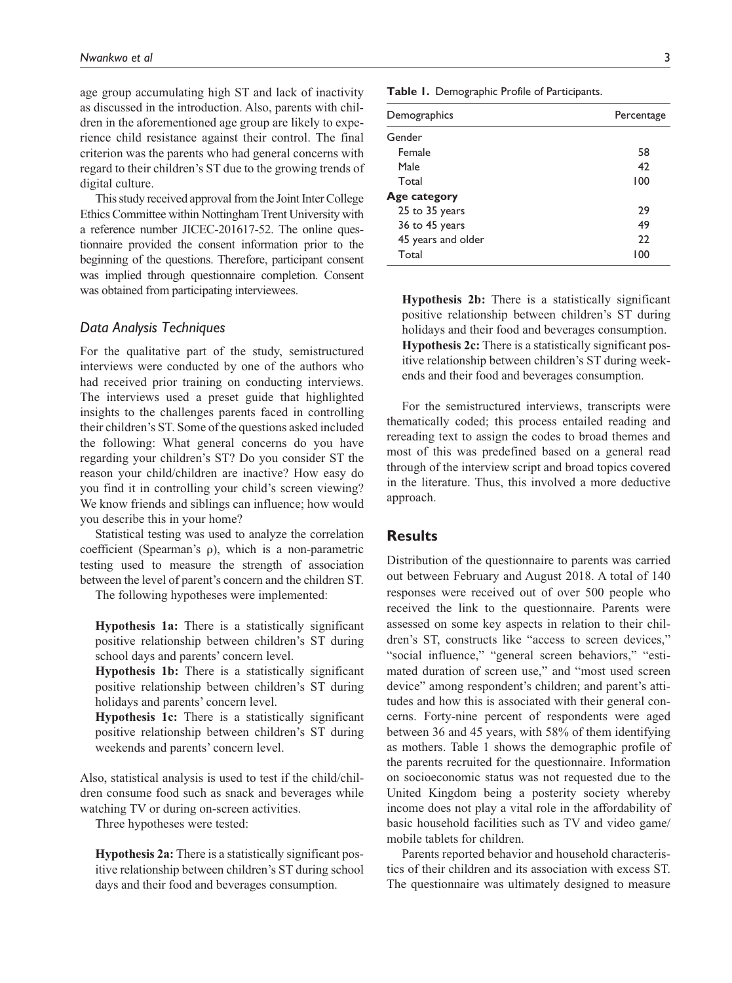age group accumulating high ST and lack of inactivity as discussed in the introduction. Also, parents with children in the aforementioned age group are likely to experience child resistance against their control. The final criterion was the parents who had general concerns with regard to their children's ST due to the growing trends of digital culture.

This study received approval from the Joint Inter College Ethics Committee within Nottingham Trent University with a reference number JICEC-201617-52. The online questionnaire provided the consent information prior to the beginning of the questions. Therefore, participant consent was implied through questionnaire completion. Consent was obtained from participating interviewees.

#### *Data Analysis Techniques*

For the qualitative part of the study, semistructured interviews were conducted by one of the authors who had received prior training on conducting interviews. The interviews used a preset guide that highlighted insights to the challenges parents faced in controlling their children's ST. Some of the questions asked included the following: What general concerns do you have regarding your children's ST? Do you consider ST the reason your child/children are inactive? How easy do you find it in controlling your child's screen viewing? We know friends and siblings can influence; how would you describe this in your home?

Statistical testing was used to analyze the correlation coefficient (Spearman's ρ), which is a non-parametric testing used to measure the strength of association between the level of parent's concern and the children ST.

The following hypotheses were implemented:

**Hypothesis 1a:** There is a statistically significant positive relationship between children's ST during school days and parents' concern level.

**Hypothesis 1b:** There is a statistically significant positive relationship between children's ST during holidays and parents' concern level.

**Hypothesis 1c:** There is a statistically significant positive relationship between children's ST during weekends and parents' concern level.

Also, statistical analysis is used to test if the child/children consume food such as snack and beverages while watching TV or during on-screen activities.

Three hypotheses were tested:

**Hypothesis 2a:** There is a statistically significant positive relationship between children's ST during school days and their food and beverages consumption.

**Table 1.** Demographic Profile of Participants.

| Demographics       | Percentage |
|--------------------|------------|
| Gender             |            |
| Female             | 58         |
| Male               | 42         |
| Total              | 100        |
| Age category       |            |
| 25 to 35 years     | 29         |
| 36 to 45 years     | 49         |
| 45 years and older | 22         |
| Total              | 100        |
|                    |            |

**Hypothesis 2b:** There is a statistically significant positive relationship between children's ST during holidays and their food and beverages consumption. **Hypothesis 2c:** There is a statistically significant positive relationship between children's ST during weekends and their food and beverages consumption.

For the semistructured interviews, transcripts were thematically coded; this process entailed reading and rereading text to assign the codes to broad themes and most of this was predefined based on a general read through of the interview script and broad topics covered in the literature. Thus, this involved a more deductive approach.

#### **Results**

Distribution of the questionnaire to parents was carried out between February and August 2018. A total of 140 responses were received out of over 500 people who received the link to the questionnaire. Parents were assessed on some key aspects in relation to their children's ST, constructs like "access to screen devices," "social influence," "general screen behaviors," "estimated duration of screen use," and "most used screen device" among respondent's children; and parent's attitudes and how this is associated with their general concerns. Forty-nine percent of respondents were aged between 36 and 45 years, with 58% of them identifying as mothers. Table 1 shows the demographic profile of the parents recruited for the questionnaire. Information on socioeconomic status was not requested due to the United Kingdom being a posterity society whereby income does not play a vital role in the affordability of basic household facilities such as TV and video game/ mobile tablets for children.

Parents reported behavior and household characteristics of their children and its association with excess ST. The questionnaire was ultimately designed to measure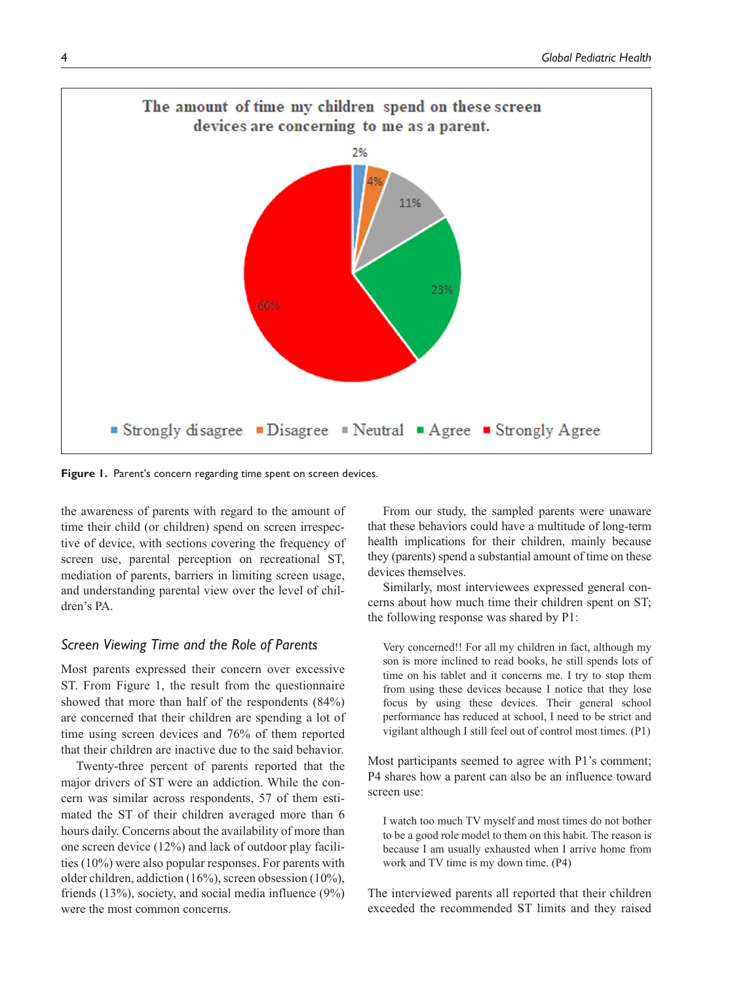

Figure 1. Parent's concern regarding time spent on screen devices.

the awareness of parents with regard to the amount of time their child (or children) spend on screen irrespective of device, with sections covering the frequency of screen use, parental perception on recreational ST, mediation of parents, barriers in limiting screen usage, and understanding parental view over the level of children's PA.

## *Screen Viewing Time and the Role of Parents*

Most parents expressed their concern over excessive ST. From Figure 1, the result from the questionnaire showed that more than half of the respondents (84%) are concerned that their children are spending a lot of time using screen devices and 76% of them reported that their children are inactive due to the said behavior.

Twenty-three percent of parents reported that the major drivers of ST were an addiction. While the concern was similar across respondents, 57 of them estimated the ST of their children averaged more than 6 hours daily. Concerns about the availability of more than one screen device (12%) and lack of outdoor play facilities (10%) were also popular responses. For parents with older children, addiction (16%), screen obsession (10%), friends (13%), society, and social media influence (9%) were the most common concerns.

From our study, the sampled parents were unaware that these behaviors could have a multitude of long-term health implications for their children, mainly because they (parents) spend a substantial amount of time on these devices themselves.

Similarly, most interviewees expressed general concerns about how much time their children spent on ST; the following response was shared by P1:

Very concerned!! For all my children in fact, although my son is more inclined to read books, he still spends lots of time on his tablet and it concerns me. I try to stop them from using these devices because I notice that they lose focus by using these devices. Their general school performance has reduced at school, I need to be strict and vigilant although I still feel out of control most times. (P1)

Most participants seemed to agree with P1's comment; P4 shares how a parent can also be an influence toward screen use:

I watch too much TV myself and most times do not bother to be a good role model to them on this habit. The reason is because I am usually exhausted when I arrive home from work and TV time is my down time. (P4)

The interviewed parents all reported that their children exceeded the recommended ST limits and they raised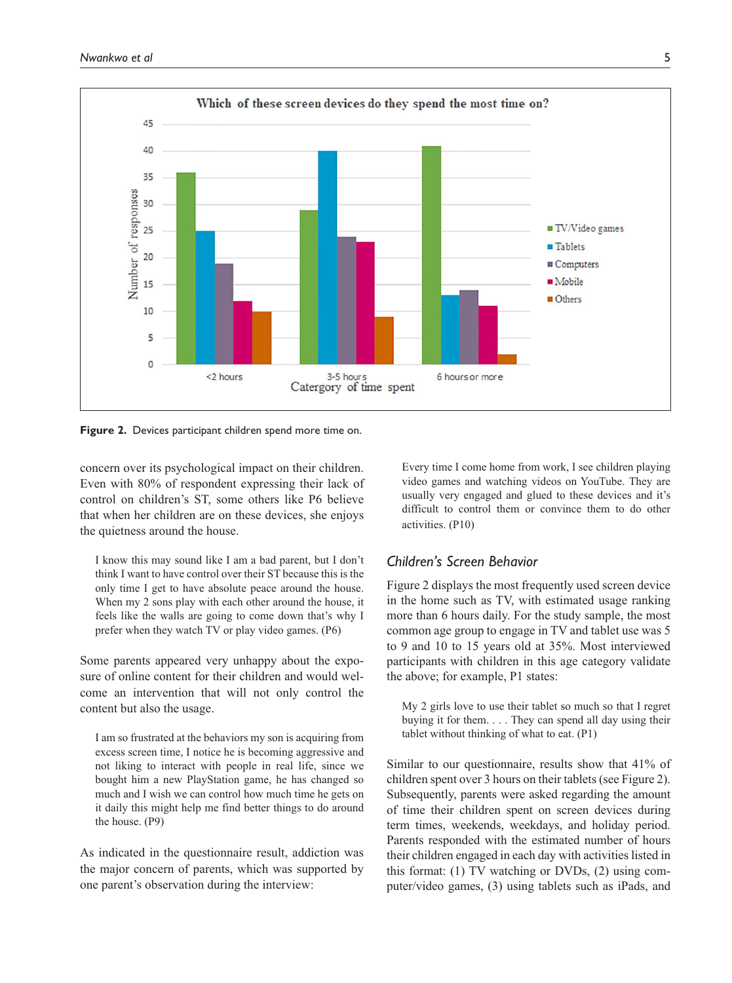

**Figure 2.** Devices participant children spend more time on.

concern over its psychological impact on their children. Even with 80% of respondent expressing their lack of control on children's ST, some others like P6 believe that when her children are on these devices, she enjoys the quietness around the house.

I know this may sound like I am a bad parent, but I don't think I want to have control over their ST because this is the only time I get to have absolute peace around the house. When my 2 sons play with each other around the house, it feels like the walls are going to come down that's why I prefer when they watch TV or play video games. (P6)

Some parents appeared very unhappy about the exposure of online content for their children and would welcome an intervention that will not only control the content but also the usage.

I am so frustrated at the behaviors my son is acquiring from excess screen time, I notice he is becoming aggressive and not liking to interact with people in real life, since we bought him a new PlayStation game, he has changed so much and I wish we can control how much time he gets on it daily this might help me find better things to do around the house. (P9)

As indicated in the questionnaire result, addiction was the major concern of parents, which was supported by one parent's observation during the interview:

Every time I come home from work, I see children playing video games and watching videos on YouTube. They are usually very engaged and glued to these devices and it's difficult to control them or convince them to do other activities. (P10)

# *Children's Screen Behavior*

Figure 2 displays the most frequently used screen device in the home such as TV, with estimated usage ranking more than 6 hours daily. For the study sample, the most common age group to engage in TV and tablet use was 5 to 9 and 10 to 15 years old at 35%. Most interviewed participants with children in this age category validate the above; for example, P1 states:

My 2 girls love to use their tablet so much so that I regret buying it for them. . . . They can spend all day using their tablet without thinking of what to eat. (P1)

Similar to our questionnaire, results show that 41% of children spent over 3 hours on their tablets (see Figure 2). Subsequently, parents were asked regarding the amount of time their children spent on screen devices during term times, weekends, weekdays, and holiday period. Parents responded with the estimated number of hours their children engaged in each day with activities listed in this format: (1) TV watching or DVDs, (2) using computer/video games, (3) using tablets such as iPads, and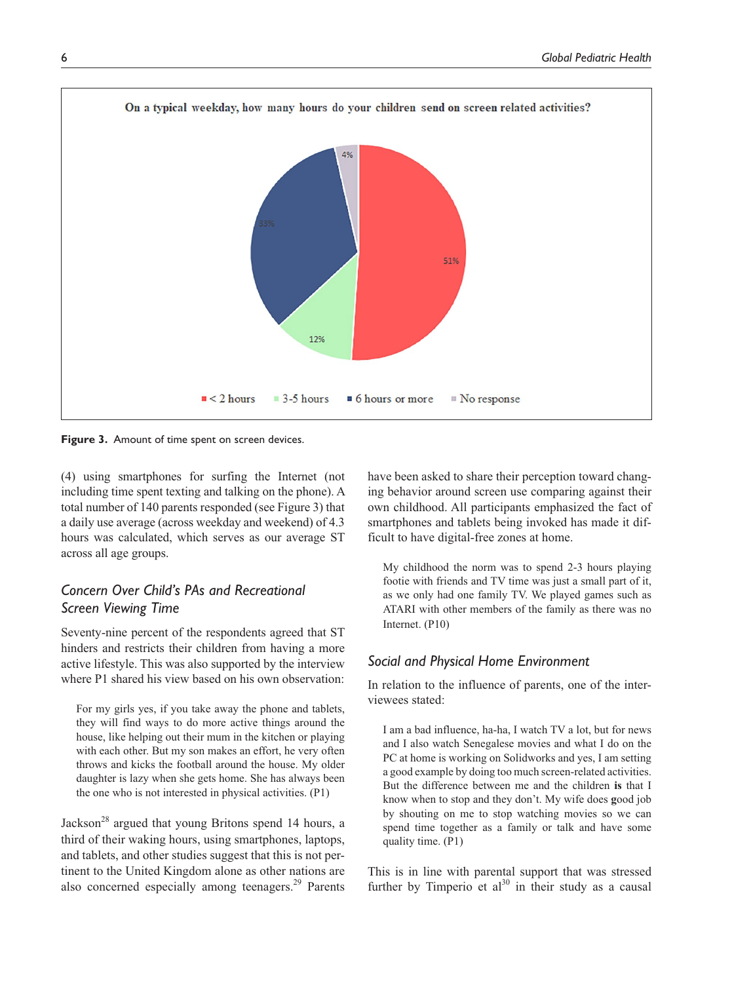

**Figure 3.** Amount of time spent on screen devices.

(4) using smartphones for surfing the Internet (not including time spent texting and talking on the phone). A total number of 140 parents responded (see Figure 3) that a daily use average (across weekday and weekend) of 4.3 hours was calculated, which serves as our average ST across all age groups.

# *Concern Over Child's PAs and Recreational Screen Viewing Time*

Seventy-nine percent of the respondents agreed that ST hinders and restricts their children from having a more active lifestyle. This was also supported by the interview where P1 shared his view based on his own observation:

For my girls yes, if you take away the phone and tablets, they will find ways to do more active things around the house, like helping out their mum in the kitchen or playing with each other. But my son makes an effort, he very often throws and kicks the football around the house. My older daughter is lazy when she gets home. She has always been the one who is not interested in physical activities. (P1)

Jackson<sup>28</sup> argued that young Britons spend 14 hours, a third of their waking hours, using smartphones, laptops, and tablets, and other studies suggest that this is not pertinent to the United Kingdom alone as other nations are also concerned especially among teenagers.<sup>29</sup> Parents

have been asked to share their perception toward changing behavior around screen use comparing against their own childhood. All participants emphasized the fact of smartphones and tablets being invoked has made it difficult to have digital-free zones at home.

My childhood the norm was to spend 2-3 hours playing footie with friends and TV time was just a small part of it, as we only had one family TV. We played games such as ATARI with other members of the family as there was no Internet. (P10)

### *Social and Physical Home Environment*

In relation to the influence of parents, one of the interviewees stated:

I am a bad influence, ha-ha, I watch TV a lot, but for news and I also watch Senegalese movies and what I do on the PC at home is working on Solidworks and yes, I am setting a good example by doing too much screen-related activities. But the difference between me and the children **is** that I know when to stop and they don't. My wife does **g**ood job by shouting on me to stop watching movies so we can spend time together as a family or talk and have some quality time. (P1)

This is in line with parental support that was stressed further by Timperio et  $al^{30}$  in their study as a causal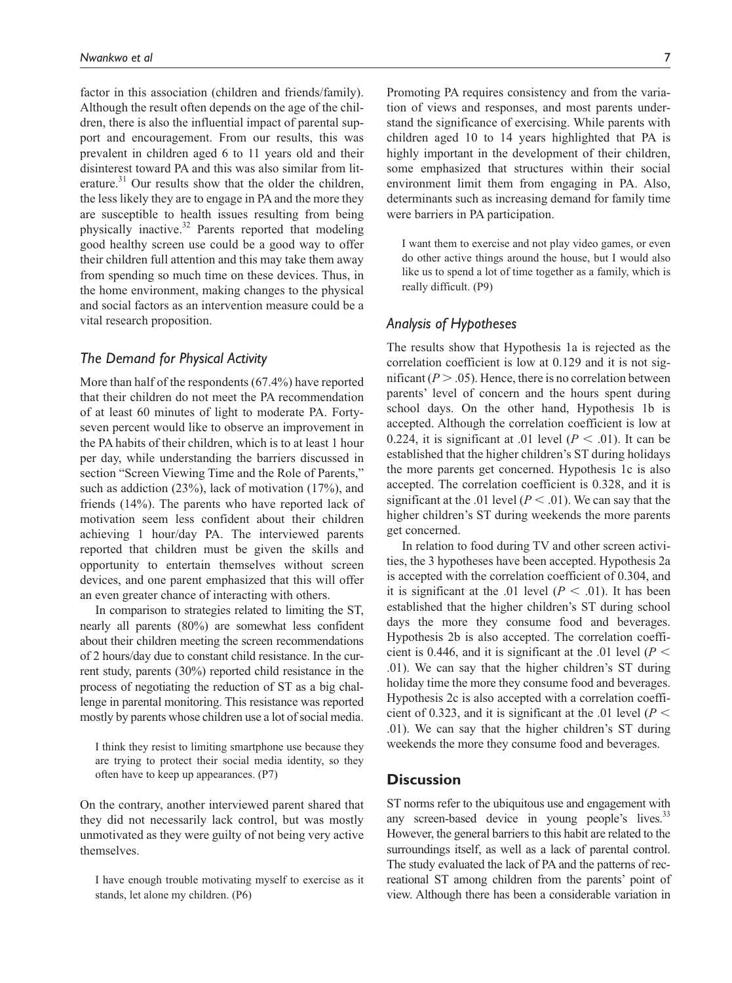factor in this association (children and friends/family). Although the result often depends on the age of the children, there is also the influential impact of parental support and encouragement. From our results, this was prevalent in children aged 6 to 11 years old and their disinterest toward PA and this was also similar from literature.<sup>31</sup> Our results show that the older the children, the less likely they are to engage in PA and the more they are susceptible to health issues resulting from being physically inactive. $32$  Parents reported that modeling good healthy screen use could be a good way to offer their children full attention and this may take them away from spending so much time on these devices. Thus, in the home environment, making changes to the physical and social factors as an intervention measure could be a vital research proposition.

### *The Demand for Physical Activity*

More than half of the respondents (67.4%) have reported that their children do not meet the PA recommendation of at least 60 minutes of light to moderate PA. Fortyseven percent would like to observe an improvement in the PA habits of their children, which is to at least 1 hour per day, while understanding the barriers discussed in section "Screen Viewing Time and the Role of Parents," such as addiction (23%), lack of motivation (17%), and friends (14%). The parents who have reported lack of motivation seem less confident about their children achieving 1 hour/day PA. The interviewed parents reported that children must be given the skills and opportunity to entertain themselves without screen devices, and one parent emphasized that this will offer an even greater chance of interacting with others.

In comparison to strategies related to limiting the ST, nearly all parents (80%) are somewhat less confident about their children meeting the screen recommendations of 2 hours/day due to constant child resistance. In the current study, parents (30%) reported child resistance in the process of negotiating the reduction of ST as a big challenge in parental monitoring. This resistance was reported mostly by parents whose children use a lot of social media.

I think they resist to limiting smartphone use because they are trying to protect their social media identity, so they often have to keep up appearances. (P7)

On the contrary, another interviewed parent shared that they did not necessarily lack control, but was mostly unmotivated as they were guilty of not being very active themselves.

I have enough trouble motivating myself to exercise as it stands, let alone my children. (P6)

Promoting PA requires consistency and from the variation of views and responses, and most parents understand the significance of exercising. While parents with children aged 10 to 14 years highlighted that PA is highly important in the development of their children, some emphasized that structures within their social environment limit them from engaging in PA. Also, determinants such as increasing demand for family time were barriers in PA participation.

I want them to exercise and not play video games, or even do other active things around the house, but I would also like us to spend a lot of time together as a family, which is really difficult. (P9)

### *Analysis of Hypotheses*

The results show that Hypothesis 1a is rejected as the correlation coefficient is low at 0.129 and it is not significant  $(P > .05)$ . Hence, there is no correlation between parents' level of concern and the hours spent during school days. On the other hand, Hypothesis 1b is accepted. Although the correlation coefficient is low at 0.224, it is significant at .01 level  $(P < .01)$ . It can be established that the higher children's ST during holidays the more parents get concerned. Hypothesis 1c is also accepted. The correlation coefficient is 0.328, and it is significant at the .01 level ( $P < .01$ ). We can say that the higher children's ST during weekends the more parents get concerned.

In relation to food during TV and other screen activities, the 3 hypotheses have been accepted. Hypothesis 2a is accepted with the correlation coefficient of 0.304, and it is significant at the .01 level  $(P < .01)$ . It has been established that the higher children's ST during school days the more they consume food and beverages. Hypothesis 2b is also accepted. The correlation coefficient is 0.446, and it is significant at the .01 level ( $P \leq$ .01). We can say that the higher children's ST during holiday time the more they consume food and beverages. Hypothesis 2c is also accepted with a correlation coefficient of 0.323, and it is significant at the .01 level ( $P$  < .01). We can say that the higher children's ST during weekends the more they consume food and beverages.

#### **Discussion**

ST norms refer to the ubiquitous use and engagement with any screen-based device in young people's lives. $33$ However, the general barriers to this habit are related to the surroundings itself, as well as a lack of parental control. The study evaluated the lack of PA and the patterns of recreational ST among children from the parents' point of view. Although there has been a considerable variation in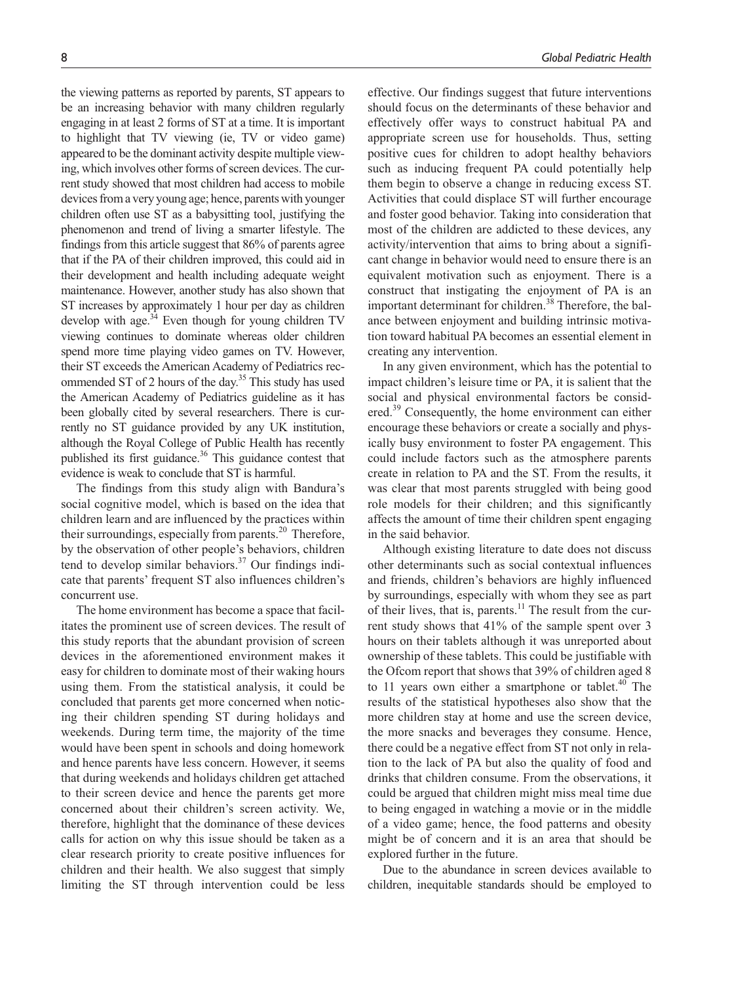the viewing patterns as reported by parents, ST appears to be an increasing behavior with many children regularly engaging in at least 2 forms of ST at a time. It is important to highlight that TV viewing (ie, TV or video game) appeared to be the dominant activity despite multiple viewing, which involves other forms of screen devices. The current study showed that most children had access to mobile devices from a very young age; hence, parents with younger children often use ST as a babysitting tool, justifying the phenomenon and trend of living a smarter lifestyle. The findings from this article suggest that 86% of parents agree that if the PA of their children improved, this could aid in their development and health including adequate weight maintenance. However, another study has also shown that ST increases by approximately 1 hour per day as children develop with age.<sup>34</sup> Even though for young children TV viewing continues to dominate whereas older children spend more time playing video games on TV. However, their ST exceeds the American Academy of Pediatrics recommended ST of 2 hours of the day.<sup>35</sup> This study has used the American Academy of Pediatrics guideline as it has been globally cited by several researchers. There is currently no ST guidance provided by any UK institution, although the Royal College of Public Health has recently published its first guidance.<sup>36</sup> This guidance contest that evidence is weak to conclude that ST is harmful.

The findings from this study align with Bandura's social cognitive model, which is based on the idea that children learn and are influenced by the practices within their surroundings, especially from parents.<sup>20</sup> Therefore, by the observation of other people's behaviors, children tend to develop similar behaviors. $37$  Our findings indicate that parents' frequent ST also influences children's concurrent use.

The home environment has become a space that facilitates the prominent use of screen devices. The result of this study reports that the abundant provision of screen devices in the aforementioned environment makes it easy for children to dominate most of their waking hours using them. From the statistical analysis, it could be concluded that parents get more concerned when noticing their children spending ST during holidays and weekends. During term time, the majority of the time would have been spent in schools and doing homework and hence parents have less concern. However, it seems that during weekends and holidays children get attached to their screen device and hence the parents get more concerned about their children's screen activity. We, therefore, highlight that the dominance of these devices calls for action on why this issue should be taken as a clear research priority to create positive influences for children and their health. We also suggest that simply limiting the ST through intervention could be less

effective. Our findings suggest that future interventions should focus on the determinants of these behavior and effectively offer ways to construct habitual PA and appropriate screen use for households. Thus, setting positive cues for children to adopt healthy behaviors such as inducing frequent PA could potentially help them begin to observe a change in reducing excess ST. Activities that could displace ST will further encourage and foster good behavior. Taking into consideration that most of the children are addicted to these devices, any activity/intervention that aims to bring about a significant change in behavior would need to ensure there is an equivalent motivation such as enjoyment. There is a construct that instigating the enjoyment of PA is an important determinant for children.<sup>38</sup> Therefore, the balance between enjoyment and building intrinsic motivation toward habitual PA becomes an essential element in creating any intervention.

In any given environment, which has the potential to impact children's leisure time or PA, it is salient that the social and physical environmental factors be considered.<sup>39</sup> Consequently, the home environment can either encourage these behaviors or create a socially and physically busy environment to foster PA engagement. This could include factors such as the atmosphere parents create in relation to PA and the ST. From the results, it was clear that most parents struggled with being good role models for their children; and this significantly affects the amount of time their children spent engaging in the said behavior.

Although existing literature to date does not discuss other determinants such as social contextual influences and friends, children's behaviors are highly influenced by surroundings, especially with whom they see as part of their lives, that is, parents. $11$  The result from the current study shows that 41% of the sample spent over 3 hours on their tablets although it was unreported about ownership of these tablets. This could be justifiable with the Ofcom report that shows that 39% of children aged 8 to 11 years own either a smartphone or tablet.<sup>40</sup> The results of the statistical hypotheses also show that the more children stay at home and use the screen device, the more snacks and beverages they consume. Hence, there could be a negative effect from ST not only in relation to the lack of PA but also the quality of food and drinks that children consume. From the observations, it could be argued that children might miss meal time due to being engaged in watching a movie or in the middle of a video game; hence, the food patterns and obesity might be of concern and it is an area that should be explored further in the future.

Due to the abundance in screen devices available to children, inequitable standards should be employed to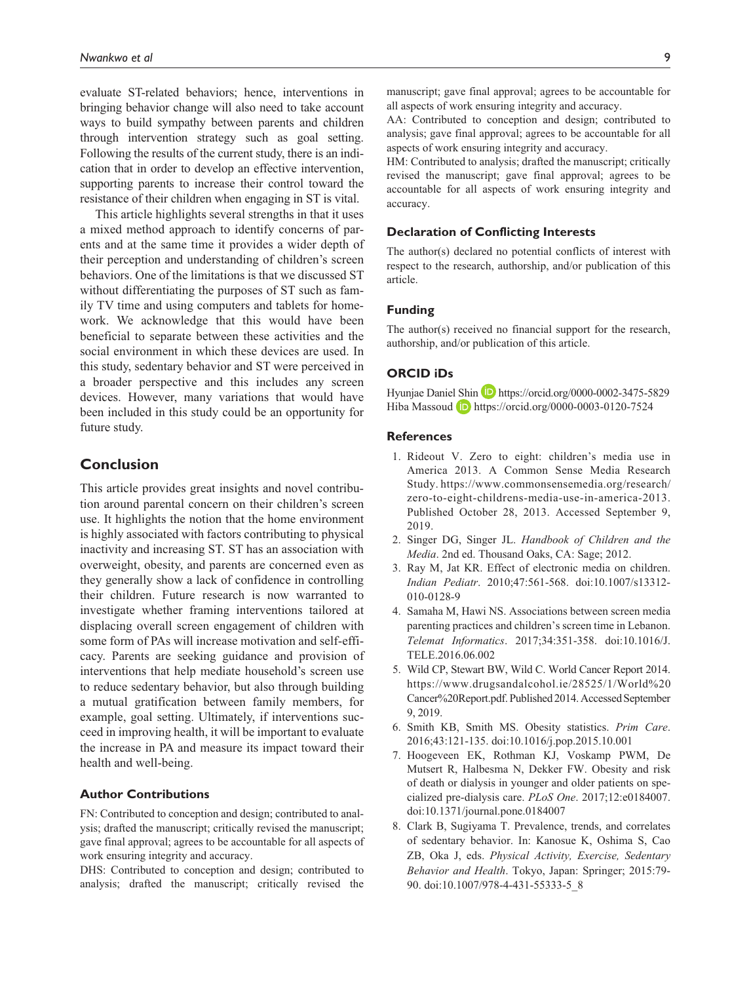evaluate ST-related behaviors; hence, interventions in bringing behavior change will also need to take account ways to build sympathy between parents and children through intervention strategy such as goal setting. Following the results of the current study, there is an indication that in order to develop an effective intervention, supporting parents to increase their control toward the resistance of their children when engaging in ST is vital.

This article highlights several strengths in that it uses a mixed method approach to identify concerns of parents and at the same time it provides a wider depth of their perception and understanding of children's screen behaviors. One of the limitations is that we discussed ST without differentiating the purposes of ST such as family TV time and using computers and tablets for homework. We acknowledge that this would have been beneficial to separate between these activities and the social environment in which these devices are used. In this study, sedentary behavior and ST were perceived in a broader perspective and this includes any screen devices. However, many variations that would have been included in this study could be an opportunity for future study.

## **Conclusion**

This article provides great insights and novel contribution around parental concern on their children's screen use. It highlights the notion that the home environment is highly associated with factors contributing to physical inactivity and increasing ST. ST has an association with overweight, obesity, and parents are concerned even as they generally show a lack of confidence in controlling their children. Future research is now warranted to investigate whether framing interventions tailored at displacing overall screen engagement of children with some form of PAs will increase motivation and self-efficacy. Parents are seeking guidance and provision of interventions that help mediate household's screen use to reduce sedentary behavior, but also through building a mutual gratification between family members, for example, goal setting. Ultimately, if interventions succeed in improving health, it will be important to evaluate the increase in PA and measure its impact toward their health and well-being.

#### **Author Contributions**

FN: Contributed to conception and design; contributed to analysis; drafted the manuscript; critically revised the manuscript; gave final approval; agrees to be accountable for all aspects of work ensuring integrity and accuracy.

DHS: Contributed to conception and design; contributed to analysis; drafted the manuscript; critically revised the

manuscript; gave final approval; agrees to be accountable for all aspects of work ensuring integrity and accuracy.

AA: Contributed to conception and design; contributed to analysis; gave final approval; agrees to be accountable for all aspects of work ensuring integrity and accuracy.

HM: Contributed to analysis; drafted the manuscript; critically revised the manuscript; gave final approval; agrees to be accountable for all aspects of work ensuring integrity and accuracy.

#### **Declaration of Conflicting Interests**

The author(s) declared no potential conflicts of interest with respect to the research, authorship, and/or publication of this article.

### **Funding**

The author(s) received no financial support for the research, authorship, and/or publication of this article.

#### **ORCID iDs**

Hyunjae Daniel Shin **D** <https://orcid.org/0000-0002-3475-5829> Hiba Massoud **D** <https://orcid.org/0000-0003-0120-7524>

#### **References**

- 1. Rideout V. Zero to eight: children's media use in America 2013. A Common Sense Media Research Study. [https://www.commonsensemedia.org/research/](https://www.commonsensemedia.org/research/zero-to-eight-childrens-media-use-in-america-2013) [zero-to-eight-childrens-media-use-in-america-2013.](https://www.commonsensemedia.org/research/zero-to-eight-childrens-media-use-in-america-2013) Published October 28, 2013. Accessed September 9, 2019.
- 2. Singer DG, Singer JL. *Handbook of Children and the Media*. 2nd ed. Thousand Oaks, CA: Sage; 2012.
- 3. Ray M, Jat KR. Effect of electronic media on children. *Indian Pediatr*. 2010;47:561-568. doi:10.1007/s13312- 010-0128-9
- 4. Samaha M, Hawi NS. Associations between screen media parenting practices and children's screen time in Lebanon. *Telemat Informatics*. 2017;34:351-358. doi:10.1016/J. TELE.2016.06.002
- 5. Wild CP, Stewart BW, Wild C. World Cancer Report 2014. [https://www.drugsandalcohol.ie/28525/1/World%20](https://www.drugsandalcohol.ie/28525/1/World%20Cancer%20Report.pdf) [Cancer%20Report.pdf.](https://www.drugsandalcohol.ie/28525/1/World%20Cancer%20Report.pdf) Published 2014. Accessed September 9, 2019.
- 6. Smith KB, Smith MS. Obesity statistics. *Prim Care*. 2016;43:121-135. doi:10.1016/j.pop.2015.10.001
- 7. Hoogeveen EK, Rothman KJ, Voskamp PWM, De Mutsert R, Halbesma N, Dekker FW. Obesity and risk of death or dialysis in younger and older patients on specialized pre-dialysis care. *PLoS One*. 2017;12:e0184007. doi:10.1371/journal.pone.0184007
- 8. Clark B, Sugiyama T. Prevalence, trends, and correlates of sedentary behavior. In: Kanosue K, Oshima S, Cao ZB, Oka J, eds. *Physical Activity, Exercise, Sedentary Behavior and Health*. Tokyo, Japan: Springer; 2015:79- 90. doi:10.1007/978-4-431-55333-5\_8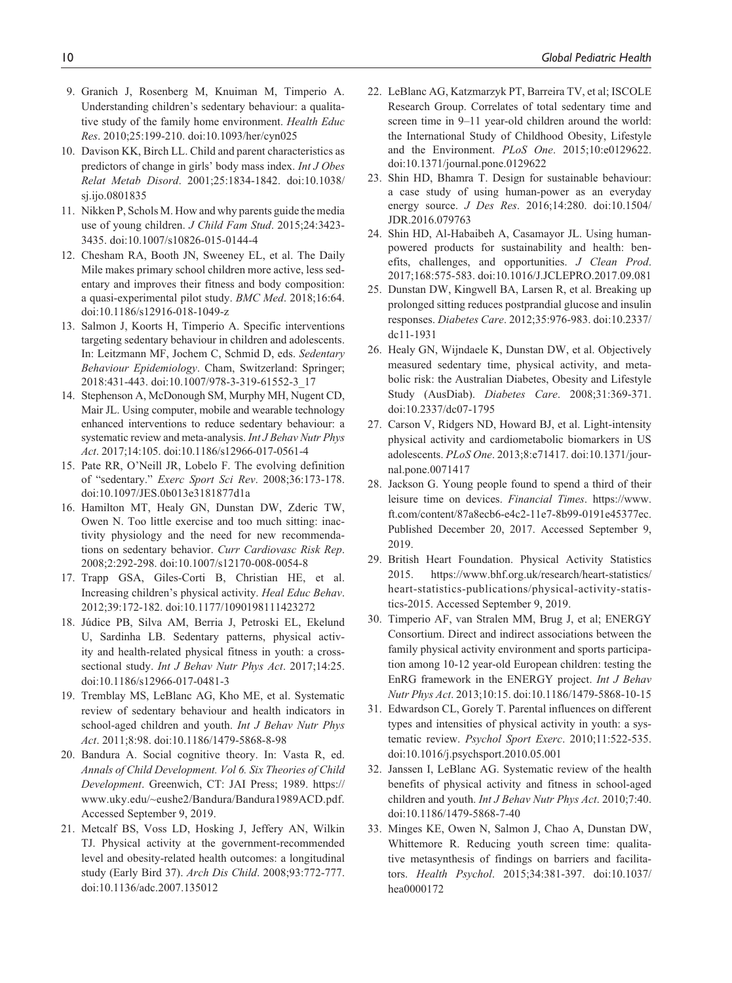- 9. Granich J, Rosenberg M, Knuiman M, Timperio A. Understanding children's sedentary behaviour: a qualitative study of the family home environment. *Health Educ Res*. 2010;25:199-210. doi:10.1093/her/cyn025
- 10. Davison KK, Birch LL. Child and parent characteristics as predictors of change in girls' body mass index. *Int J Obes Relat Metab Disord*. 2001;25:1834-1842. doi:10.1038/ sj.ijo.0801835
- 11. Nikken P, Schols M. How and why parents guide the media use of young children. *J Child Fam Stud*. 2015;24:3423- 3435. doi:10.1007/s10826-015-0144-4
- 12. Chesham RA, Booth JN, Sweeney EL, et al. The Daily Mile makes primary school children more active, less sedentary and improves their fitness and body composition: a quasi-experimental pilot study. *BMC Med*. 2018;16:64. doi:10.1186/s12916-018-1049-z
- 13. Salmon J, Koorts H, Timperio A. Specific interventions targeting sedentary behaviour in children and adolescents. In: Leitzmann MF, Jochem C, Schmid D, eds. *Sedentary Behaviour Epidemiology*. Cham, Switzerland: Springer; 2018:431-443. doi:10.1007/978-3-319-61552-3\_17
- 14. Stephenson A, McDonough SM, Murphy MH, Nugent CD, Mair JL. Using computer, mobile and wearable technology enhanced interventions to reduce sedentary behaviour: a systematic review and meta-analysis. *Int J Behav Nutr Phys Act*. 2017;14:105. doi:10.1186/s12966-017-0561-4
- 15. Pate RR, O'Neill JR, Lobelo F. The evolving definition of "sedentary." *Exerc Sport Sci Rev*. 2008;36:173-178. doi:10.1097/JES.0b013e3181877d1a
- 16. Hamilton MT, Healy GN, Dunstan DW, Zderic TW, Owen N. Too little exercise and too much sitting: inactivity physiology and the need for new recommendations on sedentary behavior. *Curr Cardiovasc Risk Rep*. 2008;2:292-298. doi:10.1007/s12170-008-0054-8
- 17. Trapp GSA, Giles-Corti B, Christian HE, et al. Increasing children's physical activity. *Heal Educ Behav*. 2012;39:172-182. doi:10.1177/1090198111423272
- 18. Júdice PB, Silva AM, Berria J, Petroski EL, Ekelund U, Sardinha LB. Sedentary patterns, physical activity and health-related physical fitness in youth: a crosssectional study. *Int J Behav Nutr Phys Act*. 2017;14:25. doi:10.1186/s12966-017-0481-3
- 19. Tremblay MS, LeBlanc AG, Kho ME, et al. Systematic review of sedentary behaviour and health indicators in school-aged children and youth. *Int J Behav Nutr Phys Act*. 2011;8:98. doi:10.1186/1479-5868-8-98
- 20. Bandura A. Social cognitive theory. In: Vasta R, ed. *Annals of Child Development. Vol 6. Six Theories of Child Development*. Greenwich, CT: JAI Press; 1989. [https://](https://www.uky.edu/~eushe2/Bandura/Bandura1989ACD.pdf) [www.uky.edu/~eushe2/Bandura/Bandura1989ACD.pdf](https://www.uky.edu/~eushe2/Bandura/Bandura1989ACD.pdf). Accessed September 9, 2019.
- 21. Metcalf BS, Voss LD, Hosking J, Jeffery AN, Wilkin TJ. Physical activity at the government-recommended level and obesity-related health outcomes: a longitudinal study (Early Bird 37). *Arch Dis Child*. 2008;93:772-777. doi:10.1136/adc.2007.135012
- 22. LeBlanc AG, Katzmarzyk PT, Barreira TV, et al; ISCOLE Research Group. Correlates of total sedentary time and screen time in 9–11 year-old children around the world: the International Study of Childhood Obesity, Lifestyle and the Environment. *PLoS One*. 2015;10:e0129622. doi:10.1371/journal.pone.0129622
- 23. Shin HD, Bhamra T. Design for sustainable behaviour: a case study of using human-power as an everyday energy source. *J Des Res*. 2016;14:280. doi:10.1504/ JDR.2016.079763
- 24. Shin HD, Al-Habaibeh A, Casamayor JL. Using humanpowered products for sustainability and health: benefits, challenges, and opportunities. *J Clean Prod*. 2017;168:575-583. doi:10.1016/J.JCLEPRO.2017.09.081
- 25. Dunstan DW, Kingwell BA, Larsen R, et al. Breaking up prolonged sitting reduces postprandial glucose and insulin responses. *Diabetes Care*. 2012;35:976-983. doi:10.2337/ dc11-1931
- 26. Healy GN, Wijndaele K, Dunstan DW, et al. Objectively measured sedentary time, physical activity, and metabolic risk: the Australian Diabetes, Obesity and Lifestyle Study (AusDiab). *Diabetes Care*. 2008;31:369-371. doi:10.2337/dc07-1795
- 27. Carson V, Ridgers ND, Howard BJ, et al. Light-intensity physical activity and cardiometabolic biomarkers in US adolescents. *PLoS One*. 2013;8:e71417. doi:10.1371/journal.pone.0071417
- 28. Jackson G. Young people found to spend a third of their leisure time on devices. *Financial Times*. [https://www.](https://www.ft.com/content/87a8ecb6-e4c2-11e7-8b99-0191e45377ec) [ft.com/content/87a8ecb6-e4c2-11e7-8b99-0191e45377ec.](https://www.ft.com/content/87a8ecb6-e4c2-11e7-8b99-0191e45377ec) Published December 20, 2017. Accessed September 9, 2019.
- 29. British Heart Foundation. Physical Activity Statistics 2015. [https://www.bhf.org.uk/research/heart-statistics/](https://www.bhf.org.uk/research/heart-statistics/heart-statistics-publications/physical-activity-statistics-2015) [heart-statistics-publications/physical-activity-statis](https://www.bhf.org.uk/research/heart-statistics/heart-statistics-publications/physical-activity-statistics-2015)[tics-2015](https://www.bhf.org.uk/research/heart-statistics/heart-statistics-publications/physical-activity-statistics-2015). Accessed September 9, 2019.
- 30. Timperio AF, van Stralen MM, Brug J, et al; ENERGY Consortium. Direct and indirect associations between the family physical activity environment and sports participation among 10-12 year-old European children: testing the EnRG framework in the ENERGY project. *Int J Behav Nutr Phys Act*. 2013;10:15. doi:10.1186/1479-5868-10-15
- 31. Edwardson CL, Gorely T. Parental influences on different types and intensities of physical activity in youth: a systematic review. *Psychol Sport Exerc*. 2010;11:522-535. doi:10.1016/j.psychsport.2010.05.001
- 32. Janssen I, LeBlanc AG. Systematic review of the health benefits of physical activity and fitness in school-aged children and youth. *Int J Behav Nutr Phys Act*. 2010;7:40. doi:10.1186/1479-5868-7-40
- 33. Minges KE, Owen N, Salmon J, Chao A, Dunstan DW, Whittemore R. Reducing youth screen time: qualitative metasynthesis of findings on barriers and facilitators. *Health Psychol*. 2015;34:381-397. doi:10.1037/ hea0000172